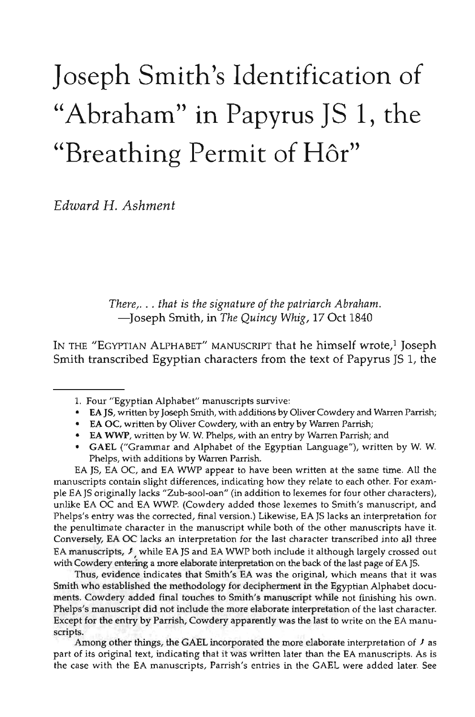## Joseph Smith's Identification of "Abraham" in Papyrus JS 1, the "Breathing Permit of Hôr"

*Edward H. Ashment*

*There,. . . that is the signature of the patriarch Abraham.* —Joseph Smith, in *The Quincy Whig,* 17 Oct 1840

IN THE "EGYPTIAN  ${\rm ALPHABET}$ " MANUSCRIPT that he himself wrote, $^1$  Joseph Smith transcribed Egyptian characters from the text of Papyrus JS 1, the

- • **EA** JS, written by Joseph Smith, with additions by Oliver Cowdery and Warren Parrish;
- • **EA** OC, written by Oliver Cowdery, with an entry by Warren Parrish;
- EA **WWP,** written by W. W. Phelps, with an entry by Warren Parrish; and
- • **GAEL** ("Grammar and Alphabet of the Egyptian Language"), written by W. W. Phelps, with additions by Warren Parrish.

EA JS, EA OC, and EA WWP appear to have been written at the same time. All the manuscripts contain slight differences, indicating how they relate to each other. For example EA JS originally lacks "Zub-sool-oan" (in addition to lexemes for four other characters), unlike EA OC and EA WWP. (Cowdery added those lexemes to Smith's manuscript, and Phelps's entry was the corrected, final version.) Likewise, EA JS lacks an interpretation for the penultimate character in the manuscript while both of the other manuscripts have it. Conversely, EA OC lacks an interpretation for the last character transcribed into all three EA manuscripts, *t* while EA JS and EA WWP both include it although largely crossed out with Cowdery entering a more elaborate interpretation on the back of the last page of EA JS.

Thus, evidence indicates that Smith's EA was the original, which means that it was Smith who established the methodology for decipherment in the Egyptian Alphabet documents. Cowdery added final touches to Smith's manuscript while not finishing his own. Phelps's manuscript did not include the more elaborate interpretation of the last character. Except for the entry by Parrish, Cowdery apparently was the last to write on the EA manuscripts.

Among other things, the GAEL incorporated the more elaborate interpretation of *f* as part of its original text, indicating that it was written later than the EA manuscripts. As is the case with the EA manuscripts, Parrish's entries in the GAEL were added later. See

<sup>1.</sup> Four "Egyptian Alphabet" manuscripts survive: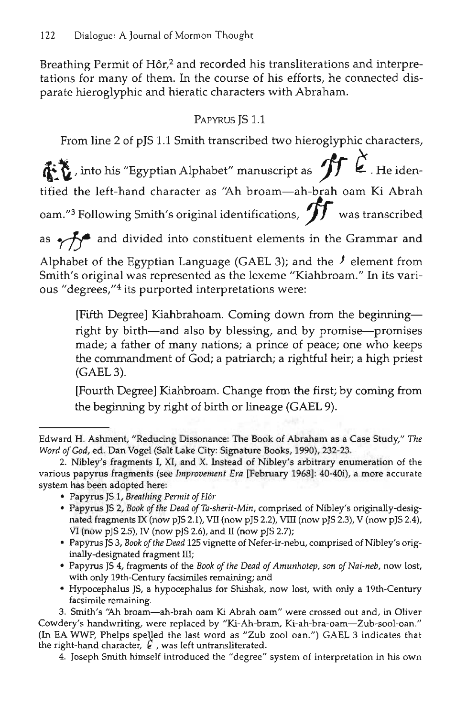Breathing Permit of Hôr,<sup>2</sup> and recorded his transliterations and interpretations for many of them. In the course of his efforts, he connected disparate hieroglyphic and hieratic characters with Abraham.

## PAPYRUS IS 1.1

From line 2 of pJS 1.1 Smith transcribed two hieroglyphic characters,

 $\mathbf{\hat{E}}$ , into his "Egyptian Alphabet" manuscript as  $\mathbf{\hat{H}}\ \grave{\mathbf{\hat{E}}}$  . He identified the left-hand character as "Ah broam—ah-brah oam Ki Abrah oam."<sup>3</sup> Following Smith's original identifications, *J J* was transcribed as  $\sim$ *f***\*** and divided into constituent elements in the Grammar and Alphabet of the Egyptian Language (GAEL 3); and the *f* element from Smith's original was represented as the lexeme "Kiahbroam." In its various "degrees,"<sup>4</sup> its purported interpretations were:

[Fifth Degree] Kiahbrahoam. Coming down from the beginning right by birth—and also by blessing, and by promise—promises made; a father of many nations; a prince of peace; one who keeps the commandment of God; a patriarch; a rightful heir; a high priest (GAEL 3).

[Fourth Degree] Kiahbroam. Change from the first; by coming from the beginning by right of birth or lineage (GAEL 9).

- Papyrus JS 1, *Breathing Permit of Hor*
- Papyrus JS 2, *Book of the Dead of Ta-sherit-Min,* comprised of Nibley's originally-designated fragments IX (now pJS 2.1), VII (now pJS 2.2), VIII (now pJS 2.3), V (now pJS 2.4), VI (now pJS 2.5), IV (now pJS 2.6), and II (now pJS 2.7);
- Papyrus JS 3, *Book of the Dead* 125 vignette of Nefer-ir-nebu, comprised of Nibley's originally-designated fragment III;
- Papyrus JS 4, fragments of the Book of the Dead of Amunhotep, son of Nai-neb, now lost, with only 19th-century facsimiles remaining; and
- Hypocephalus JS, a hypocephalus for Shishak, now lost, with only a 19th-century facsimile remaining.

3. Smith's "Ah broam—ah-brah oam Ki Abrah oam" were crossed out and, in Oliver Cowdery's handwriting, were replaced by "Ki-Ah-bram, Ki-ah-bra-oam—Zub-sool-oan." (In EA WWP, Phelps spelled the last word as "Zub zool oan.") GAEL 3 indicates that the right-hand character,  $\epsilon$ , was left untransliterated.

4. Joseph Smith himself introduced the "degree" system of interpretation in his own

Edward H. Ashment, "Reducing Dissonance: The Book of Abraham as a Case Study," *The Word of God,* ed. Dan Vogel (Salt Lake City: Signature Books, 1990), 232-23.

<sup>2.</sup> Nibley's fragments I, XI, and X. Instead of Nibley's arbitrary enumeration of the various papyrus fragments (see *Improvement Era* [February 1968]: 40-40i), a more accurate system has been adopted here: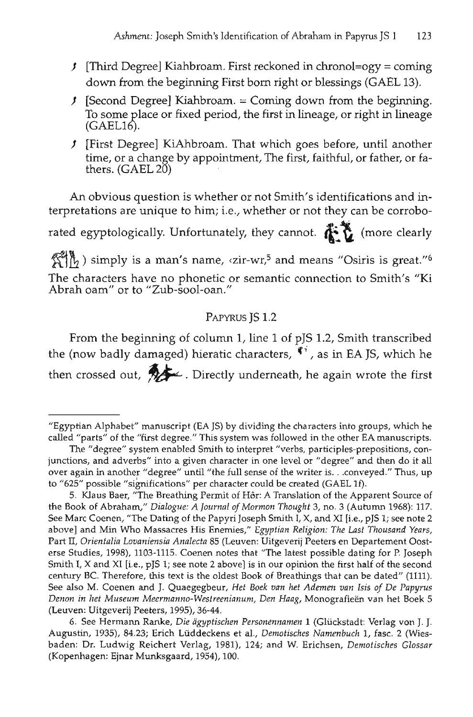- *)* [Third Degree] Kiahbroam. First reckoned in chronol=ogy = coming down from the beginning First born right or blessings (GAEL 13).
- *)* [Second Degree] Kiahbroam. = Coming down from the beginning. To some place or fixed period, the first in lineage, or right in lineage (GAEL16).
- *)* [First Degree] KiAhbroam. That which goes before, until another time, or a change by appointment, The first, faithful, or father, or fa- thers. (GAEL 20)

An obvious question is whether or not Smith's identifications and interpretations are unique to him; i.e., whether or not they can be corroborated egyptologically. Unfortunately, they cannot.  $\overrightarrow{f}$  (more clearly

) simply is a man's name,  $\langle zir-wr,^5 \rangle$  and means "Osiris is great."  $\delta$ The characters have no phonetic or semantic connection to Smith's "Ki Abrah oam" or to "Zub-sool-oan."

## PAPYRUS JS 1.2

From the beginning of column 1, line 1 of pJS 1.2, Smith transcribed the (now badly damaged) hieratic characters,  $\mathbf{f}$ <sup>*i*</sup>, as in EA JS, which he then crossed out,  $\mathcal{H}$  - Directly underneath, he again wrote the first

<sup>&</sup>quot;Egyptian Alphabet" manuscript (EA JS) by dividing the characters into groups, which he called "parts" of the "first degree." This system was followed in the other EA manuscripts.

The "degree" system enabled Smith to interpret "verbs, participles-prepositions, conjunctions, and adverbs" into a given character in one level or "degree" and then do it all over again in another "degree" until "the full sense of the writer is. . .conveyed." Thus, up to "625" possible "significations" per character could be created (GAEL If).

<sup>5.</sup> Klaus Baer, "The Breathing Permit of H6r: A Translation of the Apparent Source of the Book of Abraham," *Dialogue: A Journal of Mormon Thought* 3, no. 3 (Autumn 1968): 117. See Marc Coenen, "The Dating of the Papyri Joseph Smith I, X, and XI [i.e., pJS 1; see note 2 above] and Min Who Massacres His Enemies," *Egyptian Religion: The Last Thousand Years,* Part II, *Orientalia Lovaniensia Analecta* 85 (Leuven: Uitgeverij Peeters en Departement Oosterse Studies, 1998), 1103-1115. Coenen notes that "The latest possible dating for P. Joseph Smith I, X and XI [i.e., pJS 1; see note 2 above] is in our opinion the first half of the second century BC. Therefore, this text is the oldest Book of Breathings that can be dated" (1111). See also M. Coenen and J. Quaegegbeur, *Het Boek van het Ademen van Isis of De Papyrus Denon in het Museum Meermanno-Westreenianum, Den Haag,* Monografieen van het Boek 5 (Leuven: Uitgeverij Peeters, 1995), 36-44.

<sup>6.</sup> See Hermann Ranke, *Die agyptischen Personennamen* 1 (Gliickstadt: Verlag von J. J. Augustin, 1935), 84.23; Erich Lüddeckens et al., Demotisches Namenbuch 1, fasc. 2 (Wiesbaden: Dr. Ludwig Reichert Verlag, 1981), 124; and W. Erichsen, *Demotisches Glossar* (Kopenhagen: Ejnar Munksgaard, 1954), 100.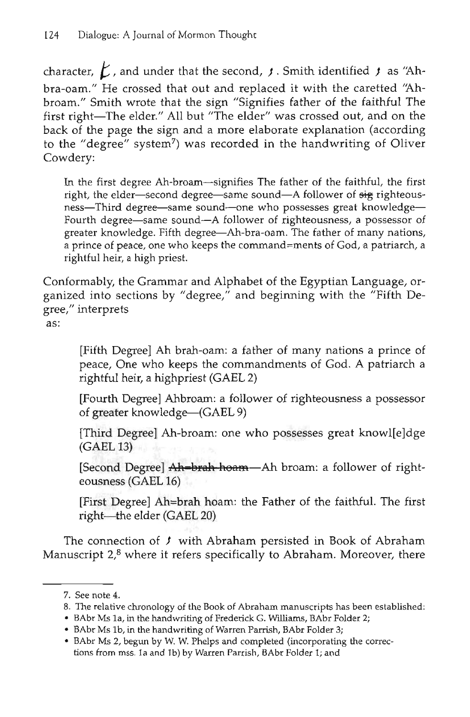character,  $\cancel{K}$ , and under that the second,  $\cancel{f}$ . Smith identified  $\cancel{f}$  as "Ahbra-oam." He crossed that out and replaced it with the caretted "Ahbroam." Smith wrote that the sign "Signifies father of the faithful The first right—The elder." All but "The elder" was crossed out, and on the back of the page the sign and a more elaborate explanation (according to the "degree" system<sup>7</sup>) was recorded in the handwriting of Oliver Cowdery:

In the first degree Ah-broam—signifies The father of the faithful, the first right, the elder—second degree—same sound—A follower of  $\frac{1}{2}$  righteousness—Third degree—same sound—one who possesses great knowledge— Fourth degree—same sound—A follower of righteousness, a possessor of greater knowledge. Fifth degree—Ah-bra-oam. The father of many nations, a prince of peace, one who keeps the command=ments of God, a patriarch, a rightful heir, a high priest.

Conformably, the Grammar and Alphabet of the Egyptian Language, organized into sections by "degree," and beginning with the "Fifth Degree," interprets

as:

[Fifth Degree] Ah brah-oam: a father of many nations a prince of peace, One who keeps the commandments of God. A patriarch a rightful heir, a highpriest (GAEL 2)

[Fourth Degree] Ahbroam: a follower of righteousness a possessor of greater knowledge—(GAEL 9)

[Third Degree] Ah-broam: one who possesses great knowl[e]dge (GAEL 13)

[Second Degree] Ah=brah hoam—Ah broam: a follower of righteousness (GAEL 16)

[First Degree] Ah=brah hoam: the Father of the faithful. The first right—the elder (GAEL 20)

The connection of  $f$  with Abraham persisted in Book of Abraham Manuscript 2,<sup>8</sup> where it refers specifically to Abraham. Moreover, there

- 8. The relative chronology of the Book of Abraham manuscripts has been established:
- BAbr Ms la, in the handwriting of Frederick G. Williams, BAbr Folder 2;
- BAbr Ms lb, in the handwriting of Warren Parrish, BAbr Folder 3;
- BAbr Ms 2, begun by W. W. Phelps and completed (incorporating the corrections from mss. la and lb) by Warren Parrish, BAbr Folder 1; and

<sup>7.</sup> See note 4.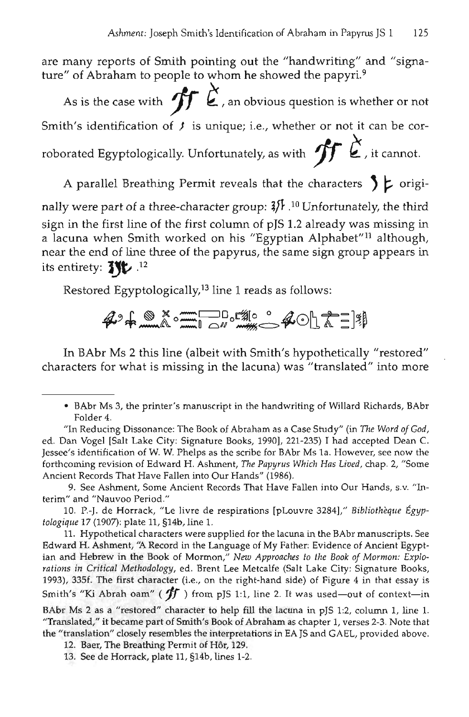are many reports of Smith pointing out the "handwriting" and "signature" of Abraham to people to whom he showed the papyri.<sup>9</sup>

As is the case with  $\mathcal{L}$ , an obvious question is whether or not Smith's identification of  $f$  is unique; i.e., whether or not it can be corroborated Egyptologically. Unfortunately, as with  $\oint$   $\zeta$ , it cannot.

A parallel Breathing Permit reveals that the characters  $\int$   $\mathsf{L}$  origi-

nally were part of a three-character group:  $3/ \hbar$  .<sup>10</sup> Unfortunately, the third sign in the first line of the first column of pJS 1.2 already was missing in a lacuna when Smith worked on his "Egyptian Alphabet"<sup>11</sup> although, near the end of line three of the papyrus, the same sign group appears in its entirety: **J\%** .<sup>12</sup>

Restored Egyptologically,<sup>13</sup> line 1 reads as follows:

 $A$ <sup>2</sup>+ $\frac{8}{2}$  $\frac{8}{2}$  $\frac{1}{2}$  $\frac{1}{2}$ 

In BAbr Ms 2 this line (albeit with Smith's hypothetically "restored" characters for what is missing in the lacuna) was "translated" into more

9. See Ashment, Some Ancient Records That Have Fallen into Our Hands, s.v. "Interim" and "Nauvoo Period."

10. P.-J. de Horrack, "Le livre de respirations [pLouvre 3284]," *Bibliotheque Egyptologique* 17 (1907): plate 11, §14b, line 1.

11. Hypothetical characters were supplied for the lacuna in the BAbr manuscripts. See Edward H. Ashment, *"A* Record in the Language of My Father: Evidence of Ancient Egyptian and Hebrew in the Book of Mormon," *New Approaches to the Book of Mormon: Explorations in Critical Methodology,* ed. Brent Lee Metcalfe (Salt Lake City: Signature Books, 1993), 335f. The first character (i.e., on the right-hand side) of Figure 4 in that essay is Smith's "Ki Abrah oam" ( *yf* ) from pJS 1:1, line 2. It was used—out of context—in

BAbr Ms 2 as a "restored" character to help fill the lacuna in pJS 1:2, column 1, line 1. "Translated," it became part of Smith's Book of Abraham as chapter 1, verses 2-3. Note that the "translation" closely resembles the interpretations in EA JS and GAEL, provided above.

12. Baer, The Breathing Permit of Hôr, 129.

13. See de Horrack, plate 11, §14b, lines 1-2.

<sup>•</sup> BAbr Ms 3, the printer's manuscript in the handwriting of Willard Richards, BAbr Folder 4.

<sup>&</sup>quot;In Reducing Dissonance: The Book of Abraham as a Case Study" (in *The Word of God,* ed. Dan Vogel [Salt Lake City: Signature Books, 1990], 221-235) I had accepted Dean C. Jessee's identification of W. W. Phelps as the scribe for BAbr Ms la. However, see now the forthcoming revision of Edward H. Ashment, *The Papyrus Which Has Lived,* chap. 2, "Some Ancient Records That Have Fallen into Our Hands" (1986).